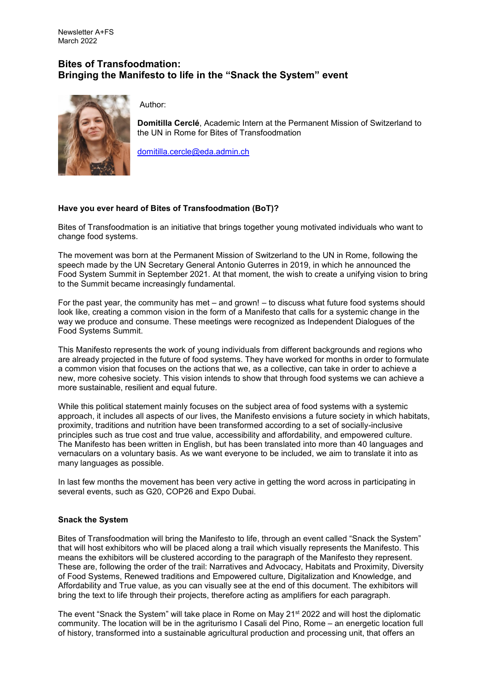## **Bites of Transfoodmation: Bringing the Manifesto to life in the "Snack the System" event**



Author:

**Domitilla Cerclé**, Academic Intern at the Permanent Mission of Switzerland to the UN in Rome for Bites of Transfoodmation

[domitilla.cercle@eda.admin.ch](mailto:domitilla.cercle@eda.admin.ch)

## **Have you ever heard of Bites of Transfoodmation (BoT)?**

Bites of Transfoodmation is an initiative that brings together young motivated individuals who want to change food systems.

The movement was born at the Permanent Mission of Switzerland to the UN in Rome, following the speech made by the UN Secretary General Antonio Guterres in 2019, in which he announced the Food System Summit in September 2021. At that moment, the wish to create a unifying vision to bring to the Summit became increasingly fundamental.

For the past year, the community has met – and grown! – to discuss what future food systems should look like, creating a common vision in the form of a Manifesto that calls for a systemic change in the way we produce and consume. These meetings were recognized as Independent Dialogues of the Food Systems Summit.

This Manifesto represents the work of young individuals from different backgrounds and regions who are already projected in the future of food systems. They have worked for months in order to formulate a common vision that focuses on the actions that we, as a collective, can take in order to achieve a new, more cohesive society. This vision intends to show that through food systems we can achieve a more sustainable, resilient and equal future.

While this political statement mainly focuses on the subject area of food systems with a systemic approach, it includes all aspects of our lives, the Manifesto envisions a future society in which habitats, proximity, traditions and nutrition have been transformed according to a set of socially-inclusive principles such as true cost and true value, accessibility and affordability, and empowered culture. The Manifesto has been written in English, but has been translated into more than 40 languages and vernaculars on a voluntary basis. As we want everyone to be included, we aim to translate it into as many languages as possible.

In last few months the movement has been very active in getting the word across in participating in several events, such as G20, COP26 and Expo Dubai.

## **Snack the System**

Bites of Transfoodmation will bring the Manifesto to life, through an event called "Snack the System" that will host exhibitors who will be placed along a trail which visually represents the Manifesto. This means the exhibitors will be clustered according to the paragraph of the Manifesto they represent. These are, following the order of the trail: Narratives and Advocacy, Habitats and Proximity, Diversity of Food Systems, Renewed traditions and Empowered culture, Digitalization and Knowledge, and Affordability and True value, as you can visually see at the end of this document. The exhibitors will bring the text to life through their projects, therefore acting as amplifiers for each paragraph.

The event "Snack the System" will take place in Rome on May 21<sup>st</sup> 2022 and will host the diplomatic community. The location will be in the agriturismo I Casali del Pino, Rome – an energetic location full of history, transformed into a sustainable agricultural production and processing unit, that offers an